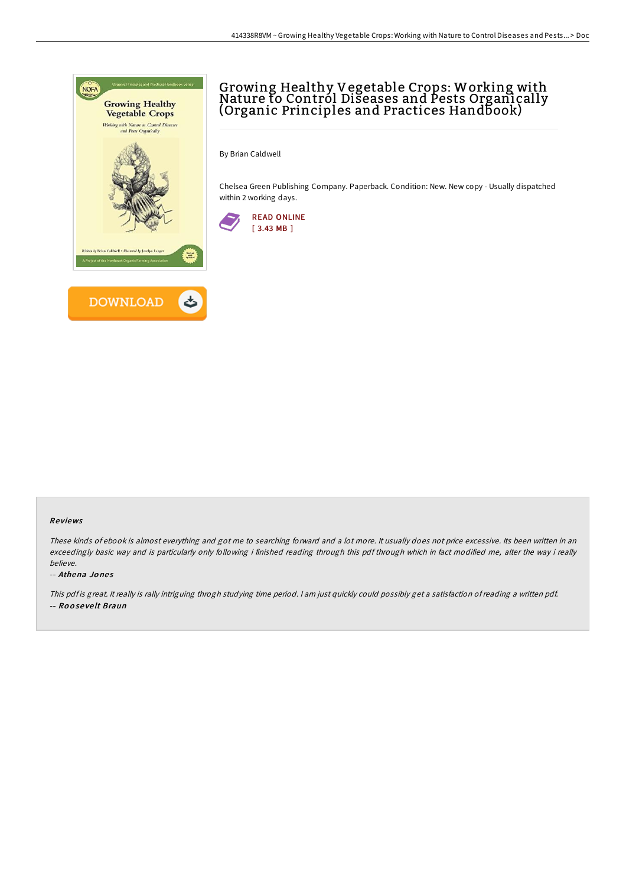

## Growing Healthy Vegetable Crops: Working with Nature to Control Diseases and Pests Organically (Organic Principles and Practices Handbook)

By Brian Caldwell

Chelsea Green Publishing Company. Paperback. Condition: New. New copy - Usually dispatched within 2 working days.



## Re views

These kinds of ebook is almost everything and got me to searching forward and <sup>a</sup> lot more. It usually does not price excessive. Its been written in an exceedingly basic way and is particularly only following i finished reading through this pdf through which in fact modified me, alter the way i really believe.

## -- Athena Jo ne s

This pdf is great. It really is rally intriguing throgh studying time period. I am just quickly could possibly get a satisfaction of reading a written pdf. -- Ro o se ve lt Braun